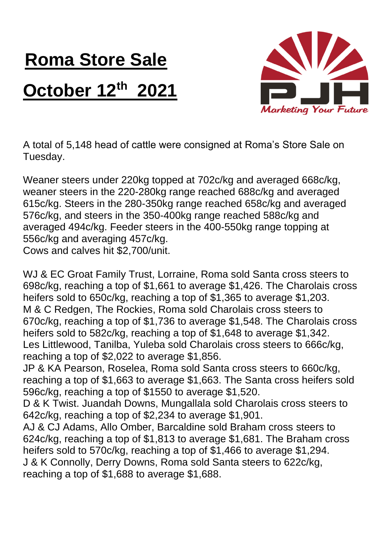## **Roma Store Sale October 12th 2021**



A total of 5,148 head of cattle were consigned at Roma's Store Sale on Tuesday.

Weaner steers under 220kg topped at 702c/kg and averaged 668c/kg, weaner steers in the 220-280kg range reached 688c/kg and averaged 615c/kg. Steers in the 280-350kg range reached 658c/kg and averaged 576c/kg, and steers in the 350-400kg range reached 588c/kg and averaged 494c/kg. Feeder steers in the 400-550kg range topping at 556c/kg and averaging 457c/kg. Cows and calves hit \$2,700/unit.

WJ & EC Groat Family Trust, Lorraine, Roma sold Santa cross steers to 698c/kg, reaching a top of \$1,661 to average \$1,426. The Charolais cross heifers sold to 650c/kg, reaching a top of \$1,365 to average \$1,203. M & C Redgen, The Rockies, Roma sold Charolais cross steers to 670c/kg, reaching a top of \$1,736 to average \$1,548. The Charolais cross heifers sold to 582c/kg, reaching a top of \$1,648 to average \$1,342. Les Littlewood, Tanilba, Yuleba sold Charolais cross steers to 666c/kg, reaching a top of \$2,022 to average \$1,856. JP & KA Pearson, Roselea, Roma sold Santa cross steers to 660c/kg, reaching a top of \$1,663 to average \$1,663. The Santa cross heifers sold 596c/kg, reaching a top of \$1550 to average \$1,520. D & K Twist. Juandah Downs, Mungallala sold Charolais cross steers to 642c/kg, reaching a top of \$2,234 to average \$1,901. AJ & CJ Adams, Allo Omber, Barcaldine sold Braham cross steers to 624c/kg, reaching a top of \$1,813 to average \$1,681. The Braham cross heifers sold to 570c/kg, reaching a top of \$1,466 to average \$1,294. J & K Connolly, Derry Downs, Roma sold Santa steers to 622c/kg,

reaching a top of \$1,688 to average \$1,688.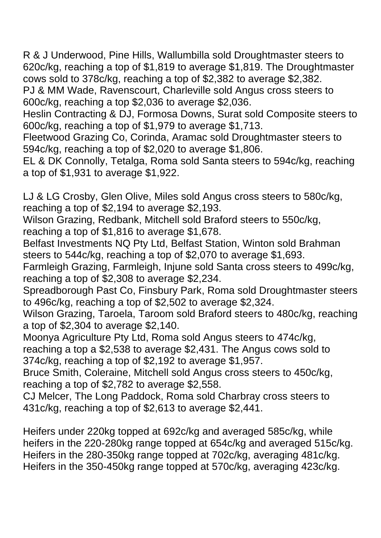R & J Underwood, Pine Hills, Wallumbilla sold Droughtmaster steers to 620c/kg, reaching a top of \$1,819 to average \$1,819. The Droughtmaster cows sold to 378c/kg, reaching a top of \$2,382 to average \$2,382. PJ & MM Wade, Ravenscourt, Charleville sold Angus cross steers to 600c/kg, reaching a top \$2,036 to average \$2,036.

Heslin Contracting & DJ, Formosa Downs, Surat sold Composite steers to 600c/kg, reaching a top of \$1,979 to average \$1,713.

Fleetwood Grazing Co, Corinda, Aramac sold Droughtmaster steers to 594c/kg, reaching a top of \$2,020 to average \$1,806.

EL & DK Connolly, Tetalga, Roma sold Santa steers to 594c/kg, reaching a top of \$1,931 to average \$1,922.

LJ & LG Crosby, Glen Olive, Miles sold Angus cross steers to 580c/kg, reaching a top of \$2,194 to average \$2,193.

Wilson Grazing, Redbank, Mitchell sold Braford steers to 550c/kg, reaching a top of \$1,816 to average \$1,678.

Belfast Investments NQ Pty Ltd, Belfast Station, Winton sold Brahman steers to 544c/kg, reaching a top of \$2,070 to average \$1,693.

Farmleigh Grazing, Farmleigh, Injune sold Santa cross steers to 499c/kg, reaching a top of \$2,308 to average \$2,234.

Spreadborough Past Co, Finsbury Park, Roma sold Droughtmaster steers to 496c/kg, reaching a top of \$2,502 to average \$2,324.

Wilson Grazing, Taroela, Taroom sold Braford steers to 480c/kg, reaching a top of \$2,304 to average \$2,140.

Moonya Agriculture Pty Ltd, Roma sold Angus steers to 474c/kg, reaching a top a \$2,538 to average \$2,431. The Angus cows sold to 374c/kg, reaching a top of \$2,192 to average \$1,957.

Bruce Smith, Coleraine, Mitchell sold Angus cross steers to 450c/kg, reaching a top of \$2,782 to average \$2,558.

CJ Melcer, The Long Paddock, Roma sold Charbray cross steers to 431c/kg, reaching a top of \$2,613 to average \$2,441.

Heifers under 220kg topped at 692c/kg and averaged 585c/kg, while heifers in the 220-280kg range topped at 654c/kg and averaged 515c/kg. Heifers in the 280-350kg range topped at 702c/kg, averaging 481c/kg. Heifers in the 350-450kg range topped at 570c/kg, averaging 423c/kg.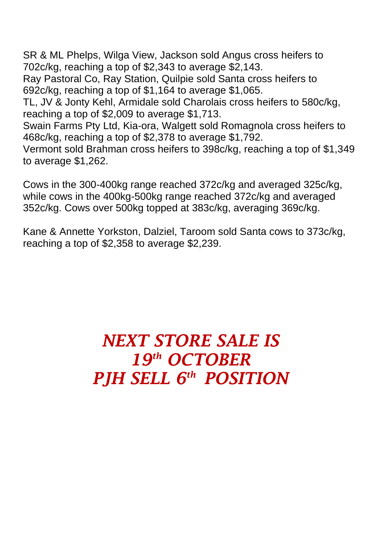SR & ML Phelps, Wilga View, Jackson sold Angus cross heifers to 702c/kg, reaching a top of \$2,343 to average \$2,143.

Ray Pastoral Co, Ray Station, Quilpie sold Santa cross heifers to 692c/kg, reaching a top of \$1,164 to average \$1,065.

TL, JV & Jonty Kehl, Armidale sold Charolais cross heifers to 580c/kg, reaching a top of \$2,009 to average \$1,713.

Swain Farms Pty Ltd, Kia-ora, Walgett sold Romagnola cross heifers to 468c/kg, reaching a top of \$2,378 to average \$1,792.

Vermont sold Brahman cross heifers to 398c/kg, reaching a top of \$1,349 to average \$1,262.

Cows in the 300-400kg range reached 372c/kg and averaged 325c/kg, while cows in the 400kg-500kg range reached 372c/kg and averaged 352c/kg. Cows over 500kg topped at 383c/kg, averaging 369c/kg.

Kane & Annette Yorkston, Dalziel, Taroom sold Santa cows to 373c/kg, reaching a top of \$2,358 to average \$2,239.

## *NEXT STORE SALE IS 19th OCTOBER PJH SELL 6 th POSITION*